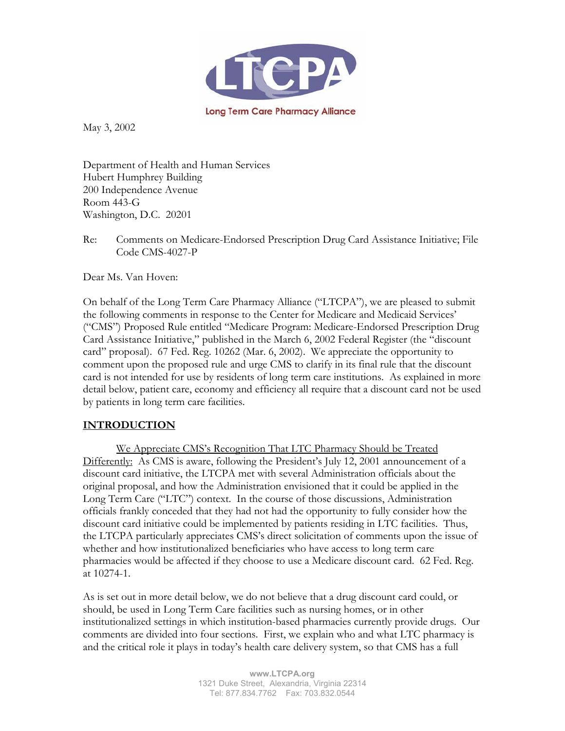

May 3, 2002

Department of Health and Human Services Hubert Humphrey Building 200 Independence Avenue Room 443-G Washington, D.C. 20201

Re: Comments on Medicare-Endorsed Prescription Drug Card Assistance Initiative; File Code CMS-4027-P

Dear Ms. Van Hoven:

On behalf of the Long Term Care Pharmacy Alliance ("LTCPA"), we are pleased to submit the following comments in response to the Center for Medicare and Medicaid Services' ("CMS") Proposed Rule entitled "Medicare Program: Medicare-Endorsed Prescription Drug Card Assistance Initiative," published in the March 6, 2002 Federal Register (the "discount card" proposal). 67 Fed. Reg. 10262 (Mar. 6, 2002). We appreciate the opportunity to comment upon the proposed rule and urge CMS to clarify in its final rule that the discount card is not intended for use by residents of long term care institutions. As explained in more detail below, patient care, economy and efficiency all require that a discount card not be used by patients in long term care facilities.

#### **INTRODUCTION**

We Appreciate CMS's Recognition That LTC Pharmacy Should be Treated Differently: As CMS is aware, following the President's July 12, 2001 announcement of a discount card initiative, the LTCPA met with several Administration officials about the original proposal, and how the Administration envisioned that it could be applied in the Long Term Care ("LTC") context. In the course of those discussions, Administration officials frankly conceded that they had not had the opportunity to fully consider how the discount card initiative could be implemented by patients residing in LTC facilities. Thus, the LTCPA particularly appreciates CMS's direct solicitation of comments upon the issue of whether and how institutionalized beneficiaries who have access to long term care pharmacies would be affected if they choose to use a Medicare discount card. 62 Fed. Reg. at 10274-1.

As is set out in more detail below, we do not believe that a drug discount card could, or should, be used in Long Term Care facilities such as nursing homes, or in other institutionalized settings in which institution-based pharmacies currently provide drugs. Our comments are divided into four sections. First, we explain who and what LTC pharmacy is and the critical role it plays in today's health care delivery system, so that CMS has a full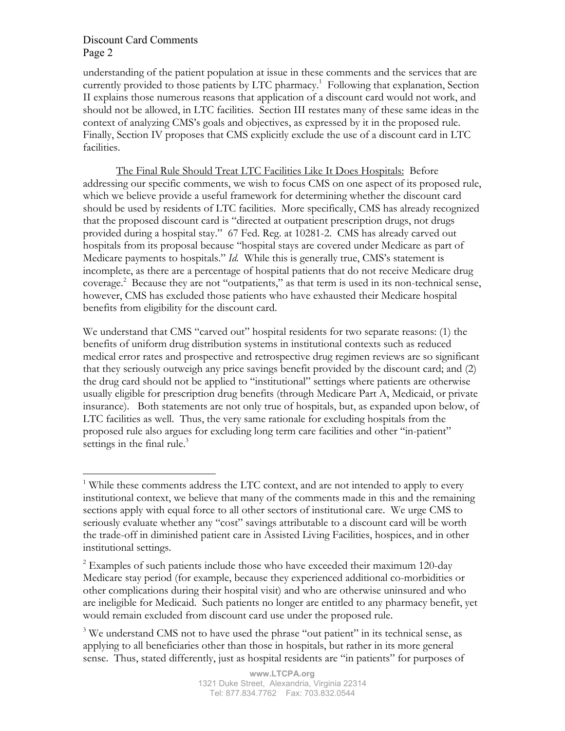understanding of the patient population at issue in these comments and the services that are currently provided to those patients by LTC pharmacy.<sup>1</sup> Following that explanation, Section II explains those numerous reasons that application of a discount card would not work, and should not be allowed, in LTC facilities. Section III restates many of these same ideas in the context of analyzing CMS's goals and objectives, as expressed by it in the proposed rule. Finally, Section IV proposes that CMS explicitly exclude the use of a discount card in LTC facilities.

The Final Rule Should Treat LTC Facilities Like It Does Hospitals: Before addressing our specific comments, we wish to focus CMS on one aspect of its proposed rule, which we believe provide a useful framework for determining whether the discount card should be used by residents of LTC facilities. More specifically, CMS has already recognized that the proposed discount card is "directed at outpatient prescription drugs, not drugs provided during a hospital stay." 67 Fed. Reg. at 10281-2. CMS has already carved out hospitals from its proposal because "hospital stays are covered under Medicare as part of Medicare payments to hospitals." *Id.* While this is generally true, CMS's statement is incomplete, as there are a percentage of hospital patients that do not receive Medicare drug coverage.<sup>2</sup> Because they are not "outpatients," as that term is used in its non-technical sense, however, CMS has excluded those patients who have exhausted their Medicare hospital benefits from eligibility for the discount card.

We understand that CMS "carved out" hospital residents for two separate reasons: (1) the benefits of uniform drug distribution systems in institutional contexts such as reduced medical error rates and prospective and retrospective drug regimen reviews are so significant that they seriously outweigh any price savings benefit provided by the discount card; and (2) the drug card should not be applied to "institutional" settings where patients are otherwise usually eligible for prescription drug benefits (through Medicare Part A, Medicaid, or private insurance). Both statements are not only true of hospitals, but, as expanded upon below, of LTC facilities as well. Thus, the very same rationale for excluding hospitals from the proposed rule also argues for excluding long term care facilities and other "in-patient" settings in the final rule. $3$ 

<sup>&</sup>lt;sup>1</sup> While these comments address the LTC context, and are not intended to apply to every institutional context, we believe that many of the comments made in this and the remaining sections apply with equal force to all other sectors of institutional care. We urge CMS to seriously evaluate whether any "cost" savings attributable to a discount card will be worth the trade-off in diminished patient care in Assisted Living Facilities, hospices, and in other institutional settings.

 $2$  Examples of such patients include those who have exceeded their maximum 120-day Medicare stay period (for example, because they experienced additional co-morbidities or other complications during their hospital visit) and who are otherwise uninsured and who are ineligible for Medicaid. Such patients no longer are entitled to any pharmacy benefit, yet would remain excluded from discount card use under the proposed rule.

<sup>&</sup>lt;sup>3</sup> We understand CMS not to have used the phrase "out patient" in its technical sense, as applying to all beneficiaries other than those in hospitals, but rather in its more general sense. Thus, stated differently, just as hospital residents are "in patients" for purposes of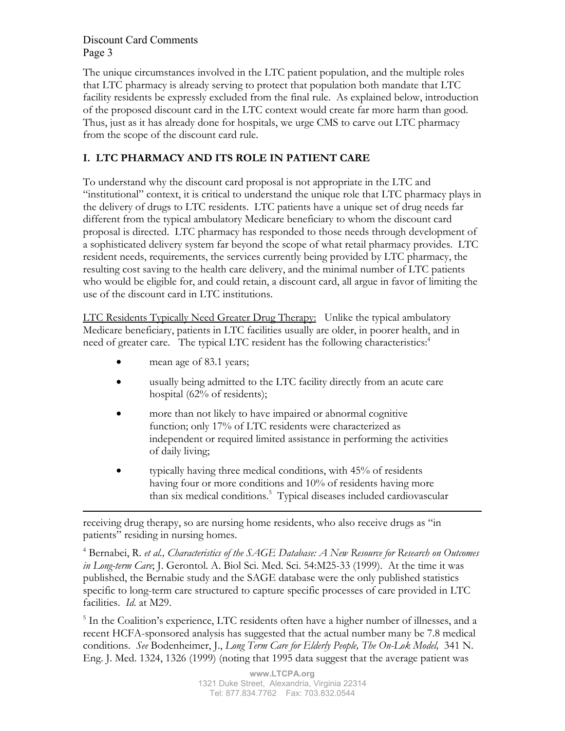The unique circumstances involved in the LTC patient population, and the multiple roles that LTC pharmacy is already serving to protect that population both mandate that LTC facility residents be expressly excluded from the final rule. As explained below, introduction of the proposed discount card in the LTC context would create far more harm than good. Thus, just as it has already done for hospitals, we urge CMS to carve out LTC pharmacy from the scope of the discount card rule.

# **I. LTC PHARMACY AND ITS ROLE IN PATIENT CARE**

To understand why the discount card proposal is not appropriate in the LTC and "institutional" context, it is critical to understand the unique role that LTC pharmacy plays in the delivery of drugs to LTC residents. LTC patients have a unique set of drug needs far different from the typical ambulatory Medicare beneficiary to whom the discount card proposal is directed. LTC pharmacy has responded to those needs through development of a sophisticated delivery system far beyond the scope of what retail pharmacy provides. LTC resident needs, requirements, the services currently being provided by LTC pharmacy, the resulting cost saving to the health care delivery, and the minimal number of LTC patients who would be eligible for, and could retain, a discount card, all argue in favor of limiting the use of the discount card in LTC institutions.

LTC Residents Typically Need Greater Drug Therapy: Unlike the typical ambulatory Medicare beneficiary, patients in LTC facilities usually are older, in poorer health, and in need of greater care. The typical LTC resident has the following characteristics:<sup>4</sup>

- mean age of 83.1 years;
- usually being admitted to the LTC facility directly from an acute care hospital (62% of residents);
- more than not likely to have impaired or abnormal cognitive function; only 17% of LTC residents were characterized as independent or required limited assistance in performing the activities of daily living;
- typically having three medical conditions, with 45% of residents having four or more conditions and 10% of residents having more than six medical conditions.<sup>5</sup> Typical diseases included cardiovascular

receiving drug therapy, so are nursing home residents, who also receive drugs as "in patients" residing in nursing homes.

4 Bernabei, R. *et al., Characteristics of the SAGE Database: A New Resource for Research on Outcomes in Long-term Care*; J. Gerontol. A. Biol Sci. Med. Sci. 54:M25-33 (1999). At the time it was published, the Bernabie study and the SAGE database were the only published statistics specific to long-term care structured to capture specific processes of care provided in LTC facilities. *Id*. at M29.

<sup>5</sup> In the Coalition's experience, LTC residents often have a higher number of illnesses, and a recent HCFA-sponsored analysis has suggested that the actual number many be 7.8 medical conditions. *See* Bodenheimer, J., *Long Term Care for Elderly People, The On-Lok Model,* 341 N. Eng. J. Med. 1324, 1326 (1999) (noting that 1995 data suggest that the average patient was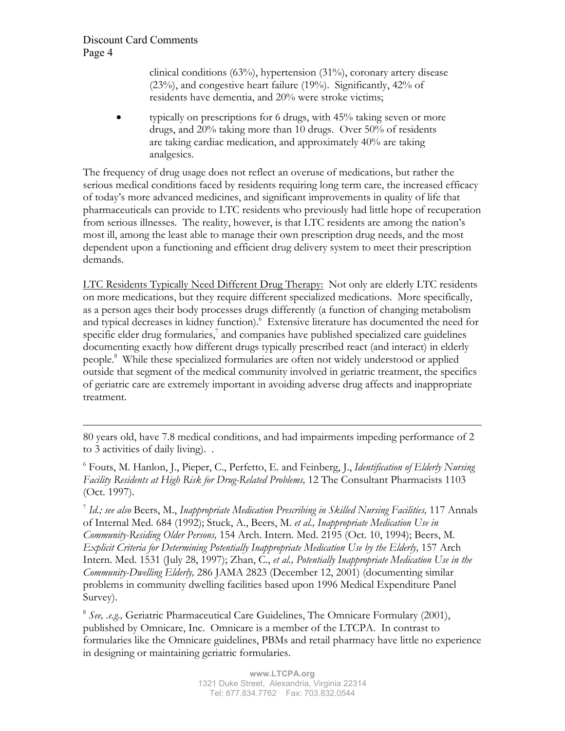clinical conditions (63%), hypertension (31%), coronary artery disease (23%), and congestive heart failure (19%). Significantly, 42% of residents have dementia, and 20% were stroke victims;

 $\bullet$  typically on prescriptions for 6 drugs, with 45% taking seven or more drugs, and 20% taking more than 10 drugs. Over 50% of residents are taking cardiac medication, and approximately 40% are taking analgesics.

The frequency of drug usage does not reflect an overuse of medications, but rather the serious medical conditions faced by residents requiring long term care, the increased efficacy of today's more advanced medicines, and significant improvements in quality of life that pharmaceuticals can provide to LTC residents who previously had little hope of recuperation from serious illnesses. The reality, however, is that LTC residents are among the nation's most ill, among the least able to manage their own prescription drug needs, and the most dependent upon a functioning and efficient drug delivery system to meet their prescription demands.

LTC Residents Typically Need Different Drug Therapy: Not only are elderly LTC residents on more medications, but they require different specialized medications. More specifically, as a person ages their body processes drugs differently (a function of changing metabolism and typical decreases in kidney function).<sup>6</sup> Extensive literature has documented the need for specific elder drug formularies, $7$  and companies have published specialized care guidelines documenting exactly how different drugs typically prescribed react (and interact) in elderly people.<sup>8</sup> While these specialized formularies are often not widely understood or applied outside that segment of the medical community involved in geriatric treatment, the specifics of geriatric care are extremely important in avoiding adverse drug affects and inappropriate treatment.

80 years old, have 7.8 medical conditions, and had impairments impeding performance of 2 to 3 activities of daily living). .

6 Fouts, M. Hanlon, J., Pieper, C., Perfetto, E. and Feinberg, J., *Identification of Elderly Nursing Facility Residents at High Risk for Drug-Related Problems,* 12 The Consultant Pharmacists 1103 (Oct. 1997).

<sup>7</sup> *Id.; see also* Beers, M., *Inappropriate Medication Prescribing in Skilled Nursing Facilities,* 117 Annals of Internal Med. 684 (1992); Stuck, A., Beers, M. *et al., Inappropriate Medication Use in Community-Residing Older Persons,* 154 Arch. Intern. Med. 2195 (Oct. 10, 1994); Beers, M. *Explicit Criteria for Determining Potentially Inappropriate Medication Use by the Elderly,* 157 Arch Intern. Med. 1531 (July 28, 1997); Zhan, C., *et al., Potentially Inappropriate Medication Use in the Community-Dwelling Elderly,* 286 JAMA 2823 (December 12, 2001) (documenting similar problems in community dwelling facilities based upon 1996 Medical Expenditure Panel Survey).

<sup>8</sup> *See, .e.g.,* Geriatric Pharmaceutical Care Guidelines, The Omnicare Formulary (2001), published by Omnicare, Inc. Omnicare is a member of the LTCPA. In contrast to formularies like the Omnicare guidelines, PBMs and retail pharmacy have little no experience in designing or maintaining geriatric formularies.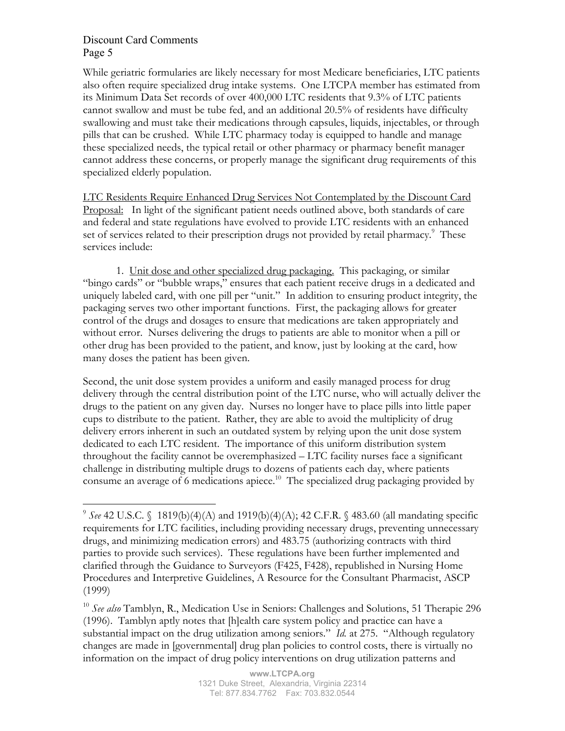While geriatric formularies are likely necessary for most Medicare beneficiaries, LTC patients also often require specialized drug intake systems. One LTCPA member has estimated from its Minimum Data Set records of over 400,000 LTC residents that 9.3% of LTC patients cannot swallow and must be tube fed, and an additional 20.5% of residents have difficulty swallowing and must take their medications through capsules, liquids, injectables, or through pills that can be crushed. While LTC pharmacy today is equipped to handle and manage these specialized needs, the typical retail or other pharmacy or pharmacy benefit manager cannot address these concerns, or properly manage the significant drug requirements of this specialized elderly population.

LTC Residents Require Enhanced Drug Services Not Contemplated by the Discount Card Proposal: In light of the significant patient needs outlined above, both standards of care and federal and state regulations have evolved to provide LTC residents with an enhanced set of services related to their prescription drugs not provided by retail pharmacy.<sup>9</sup> These services include:

1. Unit dose and other specialized drug packaging. This packaging, or similar "bingo cards" or "bubble wraps," ensures that each patient receive drugs in a dedicated and uniquely labeled card, with one pill per "unit." In addition to ensuring product integrity, the packaging serves two other important functions. First, the packaging allows for greater control of the drugs and dosages to ensure that medications are taken appropriately and without error. Nurses delivering the drugs to patients are able to monitor when a pill or other drug has been provided to the patient, and know, just by looking at the card, how many doses the patient has been given.

Second, the unit dose system provides a uniform and easily managed process for drug delivery through the central distribution point of the LTC nurse, who will actually deliver the drugs to the patient on any given day. Nurses no longer have to place pills into little paper cups to distribute to the patient. Rather, they are able to avoid the multiplicity of drug delivery errors inherent in such an outdated system by relying upon the unit dose system dedicated to each LTC resident. The importance of this uniform distribution system throughout the facility cannot be overemphasized – LTC facility nurses face a significant challenge in distributing multiple drugs to dozens of patients each day, where patients consume an average of 6 medications apiece.<sup>10</sup> The specialized drug packaging provided by

<sup>&</sup>lt;sup>9</sup> See 42 U.S.C. § 1819(b)(4)(A) and 1919(b)(4)(A); 42 C.F.R. § 483.60 (all mandating specific requirements for LTC facilities, including providing necessary drugs, preventing unnecessary drugs, and minimizing medication errors) and 483.75 (authorizing contracts with third parties to provide such services). These regulations have been further implemented and clarified through the Guidance to Surveyors (F425, F428), republished in Nursing Home Procedures and Interpretive Guidelines, A Resource for the Consultant Pharmacist, ASCP (1999)

<sup>10</sup> *See also* Tamblyn, R., Medication Use in Seniors: Challenges and Solutions, 51 Therapie 296 (1996). Tamblyn aptly notes that [h]ealth care system policy and practice can have a substantial impact on the drug utilization among seniors." *Id.* at 275. "Although regulatory changes are made in [governmental] drug plan policies to control costs, there is virtually no information on the impact of drug policy interventions on drug utilization patterns and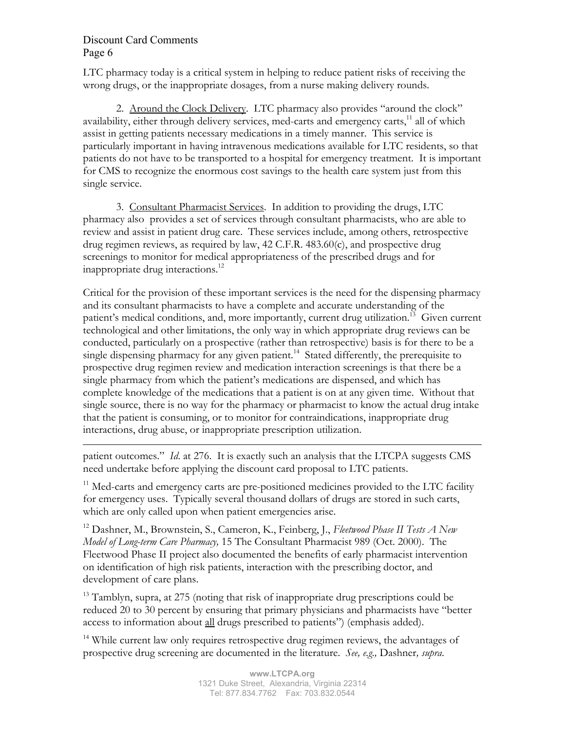LTC pharmacy today is a critical system in helping to reduce patient risks of receiving the wrong drugs, or the inappropriate dosages, from a nurse making delivery rounds.

2. Around the Clock Delivery. LTC pharmacy also provides "around the clock" availability, either through delivery services, med-carts and emergency carts,<sup>11</sup> all of which assist in getting patients necessary medications in a timely manner. This service is particularly important in having intravenous medications available for LTC residents, so that patients do not have to be transported to a hospital for emergency treatment. It is important for CMS to recognize the enormous cost savings to the health care system just from this single service.

3. Consultant Pharmacist Services. In addition to providing the drugs, LTC pharmacy also provides a set of services through consultant pharmacists, who are able to review and assist in patient drug care. These services include, among others, retrospective drug regimen reviews, as required by law, 42 C.F.R. 483.60(c), and prospective drug screenings to monitor for medical appropriateness of the prescribed drugs and for inappropriate drug interactions.<sup>12</sup>

Critical for the provision of these important services is the need for the dispensing pharmacy and its consultant pharmacists to have a complete and accurate understanding of the patient's medical conditions, and, more importantly, current drug utilization.<sup>13</sup> Given current technological and other limitations, the only way in which appropriate drug reviews can be conducted, particularly on a prospective (rather than retrospective) basis is for there to be a single dispensing pharmacy for any given patient.<sup>14</sup> Stated differently, the prerequisite to prospective drug regimen review and medication interaction screenings is that there be a single pharmacy from which the patient's medications are dispensed, and which has complete knowledge of the medications that a patient is on at any given time. Without that single source, there is no way for the pharmacy or pharmacist to know the actual drug intake that the patient is consuming, or to monitor for contraindications, inappropriate drug interactions, drug abuse, or inappropriate prescription utilization.

patient outcomes." *Id*. at 276. It is exactly such an analysis that the LTCPA suggests CMS need undertake before applying the discount card proposal to LTC patients.

 $11$  Med-carts and emergency carts are pre-positioned medicines provided to the LTC facility for emergency uses. Typically several thousand dollars of drugs are stored in such carts, which are only called upon when patient emergencies arise.

12 Dashner, M., Brownstein, S., Cameron, K., Feinberg, J., *Fleetwood Phase II Tests A New Model of Long-term Care Pharmacy,* 15 The Consultant Pharmacist 989 (Oct. 2000). The Fleetwood Phase II project also documented the benefits of early pharmacist intervention on identification of high risk patients, interaction with the prescribing doctor, and development of care plans.

<sup>13</sup> Tamblyn, supra, at 275 (noting that risk of inappropriate drug prescriptions could be reduced 20 to 30 percent by ensuring that primary physicians and pharmacists have "better access to information about all drugs prescribed to patients") (emphasis added).

<sup>14</sup> While current law only requires retrospective drug regimen reviews, the advantages of prospective drug screening are documented in the literature. *See, e.g.,* Dashner*, supra*.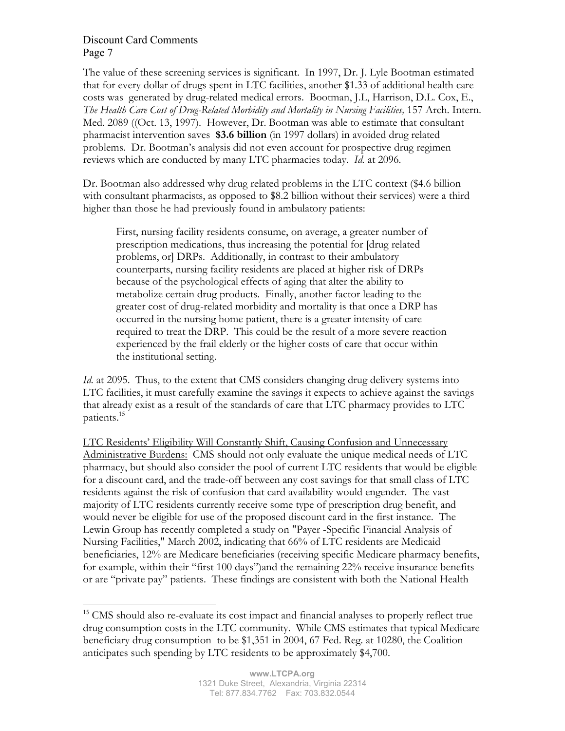The value of these screening services is significant. In 1997, Dr. J. Lyle Bootman estimated that for every dollar of drugs spent in LTC facilities, another \$1.33 of additional health care costs was generated by drug-related medical errors. Bootman, J.L, Harrison, D.L. Cox, E., The Health Care Cost of Drug-Related Morbidity and Mortality in Nursing Facilities, 157 Arch. Intern. Med. 2089 ((Oct. 13, 1997). However, Dr. Bootman was able to estimate that consultant pharmacist intervention saves **\$3.6 billion** (in 1997 dollars) in avoided drug related problems. Dr. Bootman's analysis did not even account for prospective drug regimen reviews which are conducted by many LTC pharmacies today. *Id.* at 2096.

Dr. Bootman also addressed why drug related problems in the LTC context (\$4.6 billion with consultant pharmacists, as opposed to \$8.2 billion without their services) were a third higher than those he had previously found in ambulatory patients:

First, nursing facility residents consume, on average, a greater number of prescription medications, thus increasing the potential for [drug related problems, or] DRPs. Additionally, in contrast to their ambulatory counterparts, nursing facility residents are placed at higher risk of DRPs because of the psychological effects of aging that alter the ability to metabolize certain drug products. Finally, another factor leading to the greater cost of drug-related morbidity and mortality is that once a DRP has occurred in the nursing home patient, there is a greater intensity of care required to treat the DRP. This could be the result of a more severe reaction experienced by the frail elderly or the higher costs of care that occur within the institutional setting.

*Id.* at 2095. Thus, to the extent that CMS considers changing drug delivery systems into LTC facilities, it must carefully examine the savings it expects to achieve against the savings that already exist as a result of the standards of care that LTC pharmacy provides to LTC patients.15

LTC Residents' Eligibility Will Constantly Shift, Causing Confusion and Unnecessary Administrative Burdens: CMS should not only evaluate the unique medical needs of LTC pharmacy, but should also consider the pool of current LTC residents that would be eligible for a discount card, and the trade-off between any cost savings for that small class of LTC residents against the risk of confusion that card availability would engender. The vast majority of LTC residents currently receive some type of prescription drug benefit, and would never be eligible for use of the proposed discount card in the first instance. The Lewin Group has recently completed a study on "Payer -Specific Financial Analysis of Nursing Facilities," March 2002, indicating that 66% of LTC residents are Medicaid beneficiaries, 12% are Medicare beneficiaries (receiving specific Medicare pharmacy benefits, for example, within their "first 100 days")and the remaining 22% receive insurance benefits or are "private pay" patients. These findings are consistent with both the National Health

 $15$  CMS should also re-evaluate its cost impact and financial analyses to properly reflect true drug consumption costs in the LTC community. While CMS estimates that typical Medicare beneficiary drug consumption to be \$1,351 in 2004, 67 Fed. Reg. at 10280, the Coalition anticipates such spending by LTC residents to be approximately \$4,700.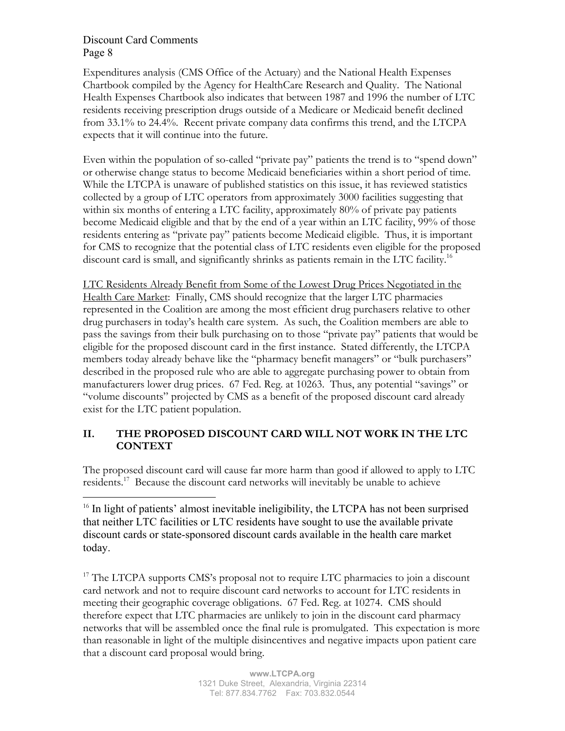Expenditures analysis (CMS Office of the Actuary) and the National Health Expenses Chartbook compiled by the Agency for HealthCare Research and Quality. The National Health Expenses Chartbook also indicates that between 1987 and 1996 the number of LTC residents receiving prescription drugs outside of a Medicare or Medicaid benefit declined from 33.1% to 24.4%. Recent private company data confirms this trend, and the LTCPA expects that it will continue into the future.

Even within the population of so-called "private pay" patients the trend is to "spend down" or otherwise change status to become Medicaid beneficiaries within a short period of time. While the LTCPA is unaware of published statistics on this issue, it has reviewed statistics collected by a group of LTC operators from approximately 3000 facilities suggesting that within six months of entering a LTC facility, approximately 80% of private pay patients become Medicaid eligible and that by the end of a year within an LTC facility, 99% of those residents entering as "private pay" patients become Medicaid eligible. Thus, it is important for CMS to recognize that the potential class of LTC residents even eligible for the proposed discount card is small, and significantly shrinks as patients remain in the LTC facility.<sup>16</sup>

LTC Residents Already Benefit from Some of the Lowest Drug Prices Negotiated in the Health Care Market: Finally, CMS should recognize that the larger LTC pharmacies represented in the Coalition are among the most efficient drug purchasers relative to other drug purchasers in today's health care system. As such, the Coalition members are able to pass the savings from their bulk purchasing on to those "private pay" patients that would be eligible for the proposed discount card in the first instance. Stated differently, the LTCPA members today already behave like the "pharmacy benefit managers" or "bulk purchasers" described in the proposed rule who are able to aggregate purchasing power to obtain from manufacturers lower drug prices. 67 Fed. Reg. at 10263. Thus, any potential "savings" or "volume discounts" projected by CMS as a benefit of the proposed discount card already exist for the LTC patient population.

# **II. THE PROPOSED DISCOUNT CARD WILL NOT WORK IN THE LTC CONTEXT**

The proposed discount card will cause far more harm than good if allowed to apply to LTC residents.17 Because the discount card networks will inevitably be unable to achieve

<sup>16</sup> In light of patients' almost inevitable ineligibility, the LTCPA has not been surprised that neither LTC facilities or LTC residents have sought to use the available private discount cards or state-sponsored discount cards available in the health care market today.

<sup>17</sup> The LTCPA supports CMS's proposal not to require LTC pharmacies to join a discount card network and not to require discount card networks to account for LTC residents in meeting their geographic coverage obligations. 67 Fed. Reg. at 10274. CMS should therefore expect that LTC pharmacies are unlikely to join in the discount card pharmacy networks that will be assembled once the final rule is promulgated. This expectation is more than reasonable in light of the multiple disincentives and negative impacts upon patient care that a discount card proposal would bring.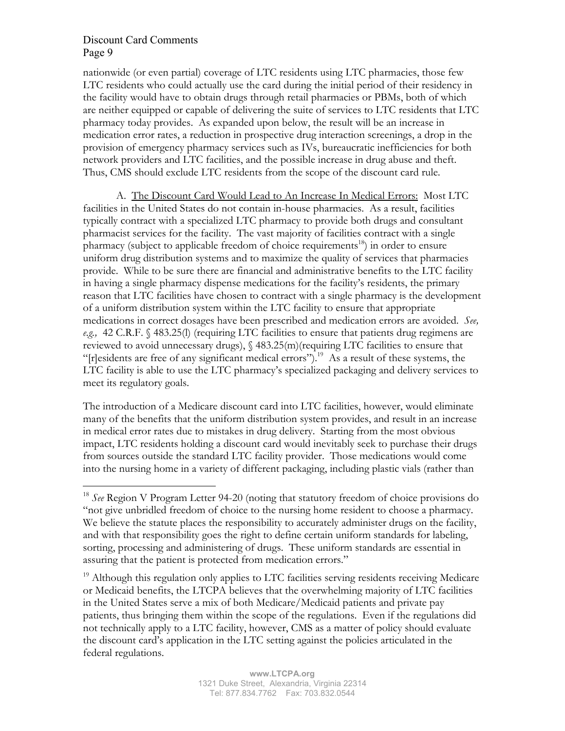nationwide (or even partial) coverage of LTC residents using LTC pharmacies, those few LTC residents who could actually use the card during the initial period of their residency in the facility would have to obtain drugs through retail pharmacies or PBMs, both of which are neither equipped or capable of delivering the suite of services to LTC residents that LTC pharmacy today provides. As expanded upon below, the result will be an increase in medication error rates, a reduction in prospective drug interaction screenings, a drop in the provision of emergency pharmacy services such as IVs, bureaucratic inefficiencies for both network providers and LTC facilities, and the possible increase in drug abuse and theft. Thus, CMS should exclude LTC residents from the scope of the discount card rule.

A. The Discount Card Would Lead to An Increase In Medical Errors: Most LTC facilities in the United States do not contain in-house pharmacies. As a result, facilities typically contract with a specialized LTC pharmacy to provide both drugs and consultant pharmacist services for the facility. The vast majority of facilities contract with a single pharmacy (subject to applicable freedom of choice requirements<sup>18</sup>) in order to ensure uniform drug distribution systems and to maximize the quality of services that pharmacies provide. While to be sure there are financial and administrative benefits to the LTC facility in having a single pharmacy dispense medications for the facility's residents, the primary reason that LTC facilities have chosen to contract with a single pharmacy is the development of a uniform distribution system within the LTC facility to ensure that appropriate medications in correct dosages have been prescribed and medication errors are avoided. *See, e.g.,* 42 C.R.F. § 483.25(l) (requiring LTC facilities to ensure that patients drug regimens are reviewed to avoid unnecessary drugs), § 483.25(m)(requiring LTC facilities to ensure that " $[r]$ esidents are free of any significant medical errors").<sup>19</sup> As a result of these systems, the LTC facility is able to use the LTC pharmacy's specialized packaging and delivery services to meet its regulatory goals.

The introduction of a Medicare discount card into LTC facilities, however, would eliminate many of the benefits that the uniform distribution system provides, and result in an increase in medical error rates due to mistakes in drug delivery. Starting from the most obvious impact, LTC residents holding a discount card would inevitably seek to purchase their drugs from sources outside the standard LTC facility provider. Those medications would come into the nursing home in a variety of different packaging, including plastic vials (rather than

<sup>&</sup>lt;sup>18</sup> *See* Region V Program Letter 94-20 (noting that statutory freedom of choice provisions do "not give unbridled freedom of choice to the nursing home resident to choose a pharmacy. We believe the statute places the responsibility to accurately administer drugs on the facility, and with that responsibility goes the right to define certain uniform standards for labeling, sorting, processing and administering of drugs. These uniform standards are essential in assuring that the patient is protected from medication errors."

 $19$  Although this regulation only applies to LTC facilities serving residents receiving Medicare or Medicaid benefits, the LTCPA believes that the overwhelming majority of LTC facilities in the United States serve a mix of both Medicare/Medicaid patients and private pay patients, thus bringing them within the scope of the regulations. Even if the regulations did not technically apply to a LTC facility, however, CMS as a matter of policy should evaluate the discount card's application in the LTC setting against the policies articulated in the federal regulations.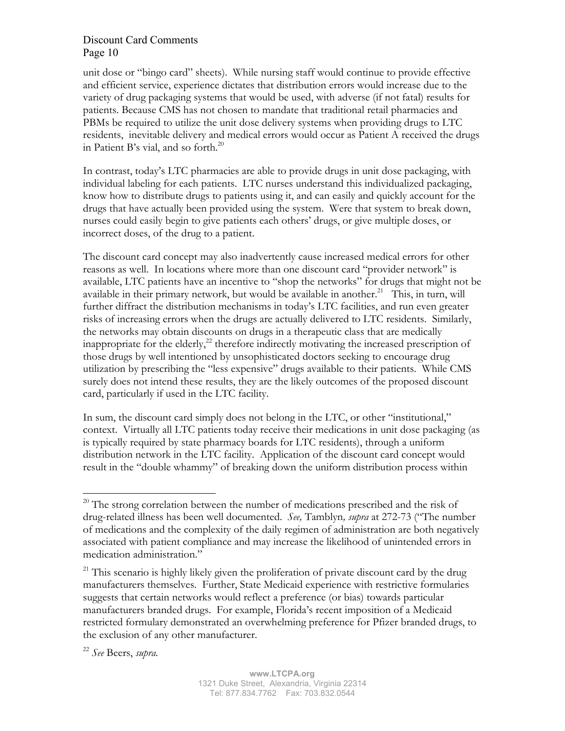unit dose or "bingo card" sheets). While nursing staff would continue to provide effective and efficient service, experience dictates that distribution errors would increase due to the variety of drug packaging systems that would be used, with adverse (if not fatal) results for patients. Because CMS has not chosen to mandate that traditional retail pharmacies and PBMs be required to utilize the unit dose delivery systems when providing drugs to LTC residents, inevitable delivery and medical errors would occur as Patient A received the drugs in Patient B's vial, and so forth. $^{20}$ 

In contrast, today's LTC pharmacies are able to provide drugs in unit dose packaging, with individual labeling for each patients. LTC nurses understand this individualized packaging, know how to distribute drugs to patients using it, and can easily and quickly account for the drugs that have actually been provided using the system. Were that system to break down, nurses could easily begin to give patients each others' drugs, or give multiple doses, or incorrect doses, of the drug to a patient.

The discount card concept may also inadvertently cause increased medical errors for other reasons as well. In locations where more than one discount card "provider network" is available, LTC patients have an incentive to "shop the networks" for drugs that might not be available in their primary network, but would be available in another.<sup>21</sup> This, in turn, will further diffract the distribution mechanisms in today's LTC facilities, and run even greater risks of increasing errors when the drugs are actually delivered to LTC residents. Similarly, the networks may obtain discounts on drugs in a therapeutic class that are medically inappropriate for the elderly, $^{22}$  therefore indirectly motivating the increased prescription of those drugs by well intentioned by unsophisticated doctors seeking to encourage drug utilization by prescribing the "less expensive" drugs available to their patients. While CMS surely does not intend these results, they are the likely outcomes of the proposed discount card, particularly if used in the LTC facility.

In sum, the discount card simply does not belong in the LTC, or other "institutional," context. Virtually all LTC patients today receive their medications in unit dose packaging (as is typically required by state pharmacy boards for LTC residents), through a uniform distribution network in the LTC facility. Application of the discount card concept would result in the "double whammy" of breaking down the uniform distribution process within

<sup>&</sup>lt;sup>20</sup> The strong correlation between the number of medications prescribed and the risk of drug-related illness has been well documented. *See,* Tamblyn*, supra* at 272-73 ("The number of medications and the complexity of the daily regimen of administration are both negatively associated with patient compliance and may increase the likelihood of unintended errors in medication administration."

<sup>&</sup>lt;sup>21</sup> This scenario is highly likely given the proliferation of private discount card by the drug manufacturers themselves. Further, State Medicaid experience with restrictive formularies suggests that certain networks would reflect a preference (or bias) towards particular manufacturers branded drugs. For example, Florida's recent imposition of a Medicaid restricted formulary demonstrated an overwhelming preference for Pfizer branded drugs, to the exclusion of any other manufacturer.

<sup>22</sup> *See* Beers, *supra.*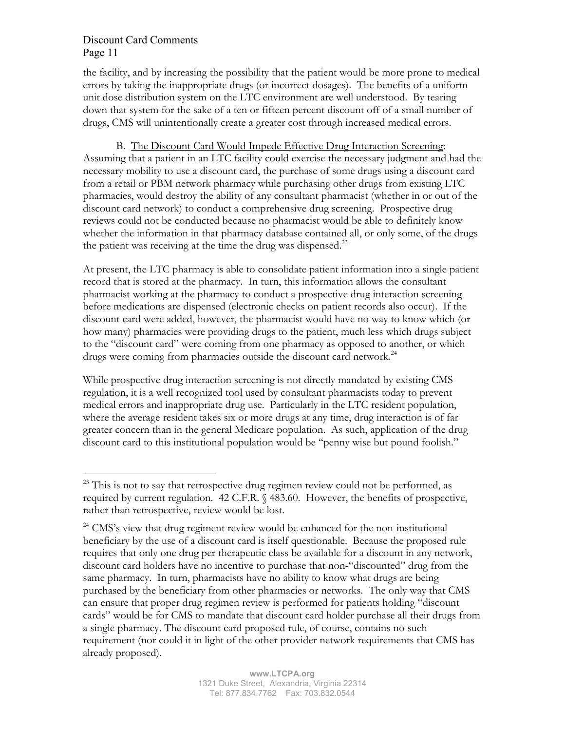the facility, and by increasing the possibility that the patient would be more prone to medical errors by taking the inappropriate drugs (or incorrect dosages). The benefits of a uniform unit dose distribution system on the LTC environment are well understood. By tearing down that system for the sake of a ten or fifteen percent discount off of a small number of drugs, CMS will unintentionally create a greater cost through increased medical errors.

B. The Discount Card Would Impede Effective Drug Interaction Screening: Assuming that a patient in an LTC facility could exercise the necessary judgment and had the necessary mobility to use a discount card, the purchase of some drugs using a discount card from a retail or PBM network pharmacy while purchasing other drugs from existing LTC pharmacies, would destroy the ability of any consultant pharmacist (whether in or out of the discount card network) to conduct a comprehensive drug screening. Prospective drug reviews could not be conducted because no pharmacist would be able to definitely know whether the information in that pharmacy database contained all, or only some, of the drugs the patient was receiving at the time the drug was dispensed.<sup>23</sup>

At present, the LTC pharmacy is able to consolidate patient information into a single patient record that is stored at the pharmacy. In turn, this information allows the consultant pharmacist working at the pharmacy to conduct a prospective drug interaction screening before medications are dispensed (electronic checks on patient records also occur). If the discount card were added, however, the pharmacist would have no way to know which (or how many) pharmacies were providing drugs to the patient, much less which drugs subject to the "discount card" were coming from one pharmacy as opposed to another, or which drugs were coming from pharmacies outside the discount card network.<sup>24</sup>

While prospective drug interaction screening is not directly mandated by existing CMS regulation, it is a well recognized tool used by consultant pharmacists today to prevent medical errors and inappropriate drug use. Particularly in the LTC resident population, where the average resident takes six or more drugs at any time, drug interaction is of far greater concern than in the general Medicare population. As such, application of the drug discount card to this institutional population would be "penny wise but pound foolish."

<sup>&</sup>lt;sup>23</sup> This is not to say that retrospective drug regimen review could not be performed, as required by current regulation. 42 C.F.R. § 483.60. However, the benefits of prospective, rather than retrospective, review would be lost.

<sup>&</sup>lt;sup>24</sup> CMS's view that drug regiment review would be enhanced for the non-institutional beneficiary by the use of a discount card is itself questionable. Because the proposed rule requires that only one drug per therapeutic class be available for a discount in any network, discount card holders have no incentive to purchase that non-"discounted" drug from the same pharmacy. In turn, pharmacists have no ability to know what drugs are being purchased by the beneficiary from other pharmacies or networks. The only way that CMS can ensure that proper drug regimen review is performed for patients holding "discount cards" would be for CMS to mandate that discount card holder purchase all their drugs from a single pharmacy. The discount card proposed rule, of course, contains no such requirement (nor could it in light of the other provider network requirements that CMS has already proposed).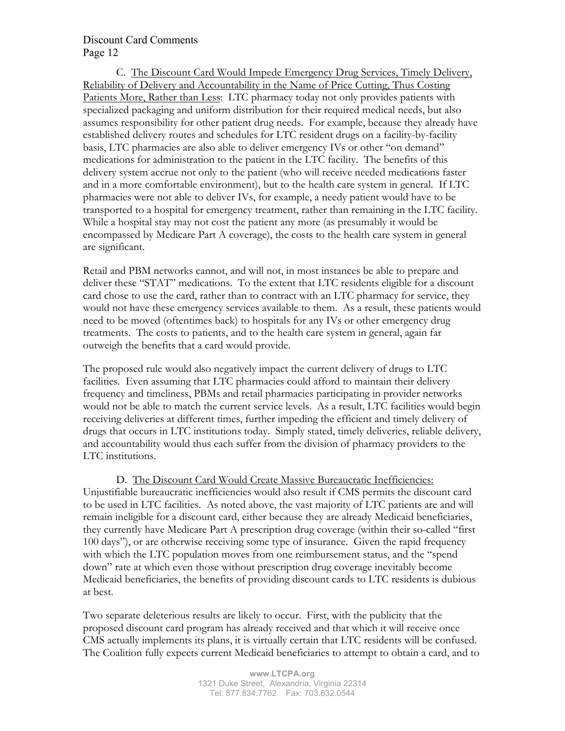C. The Discount Card Would Impede Emergency Drug Services, Timely Delivery, Reliability of Delivery and Accountability in the Name of Price Cutting, Thus Costing Patients More, Rather than Less: LTC pharmacy today not only provides patients with specialized packaging and uniform distribution for their required medical needs, but also assumes responsibility for other patient drug needs. For example, because they already have established delivery routes and schedules for LTC resident drugs on a facility-by-facility basis, LTC pharmacies are also able to deliver emergency IVs or other "on demand" medications for administration to the patient in the LTC facility. The benefits of this delivery system accrue not only to the patient (who will receive needed medications faster and in a more comfortable environment), but to the health care system in general. If LTC pharmacies were not able to deliver IVs, for example, a needy patient would have to be transported to a hospital for emergency treatment, rather than remaining in the LTC facility. While a hospital stay may not cost the patient any more (as presumably it would be encompassed by Medicare Part A coverage), the costs to the health care system in general are significant.

Retail and PBM networks cannot, and will not, in most instances be able to prepare and deliver these "STAT" medications. To the extent that LTC residents eligible for a discount card chose to use the card, rather than to contract with an LTC pharmacy for service, they would not have these emergency services available to them. As a result, these patients would need to be moved (oftentimes back) to hospitals for any IVs or other emergency drug treatments. The costs to patients, and to the health care system in general, again far outweigh the benefits that a card would provide.

The proposed rule would also negatively impact the current delivery of drugs to LTC facilities. Even assuming that LTC pharmacies could afford to maintain their delivery frequency and timeliness, PBMs and retail pharmacies participating in provider networks would not be able to match the current service levels. As a result, LTC facilities would begin receiving deliveries at different times, further impeding the efficient and timely delivery of drugs that occurs in LTC institutions today. Simply stated, timely deliveries, reliable delivery, and accountability would thus each suffer from the division of pharmacy providers to the LTC institutions.

D. The Discount Card Would Create Massive Bureaucratic Inefficiencies: Unjustifiable bureaucratic inefficiencies would also result if CMS permits the discount card to be used in LTC facilities. As noted above, the vast majority of LTC patients are and will remain ineligible for a discount card, either because they are already Medicaid beneficiaries, they currently have Medicare Part A prescription drug coverage (within their so-called "first 100 days"), or are otherwise receiving some type of insurance. Given the rapid frequency with which the LTC population moves from one reimbursement status, and the "spend down" rate at which even those without prescription drug coverage inevitably become Medicaid beneficiaries, the benefits of providing discount cards to LTC residents is dubious at best.

Two separate deleterious results are likely to occur. First, with the publicity that the proposed discount card program has already received and that which it will receive once CMS actually implements its plans, it is virtually certain that LTC residents will be confused. The Coalition fully expects current Medicaid beneficiaries to attempt to obtain a card, and to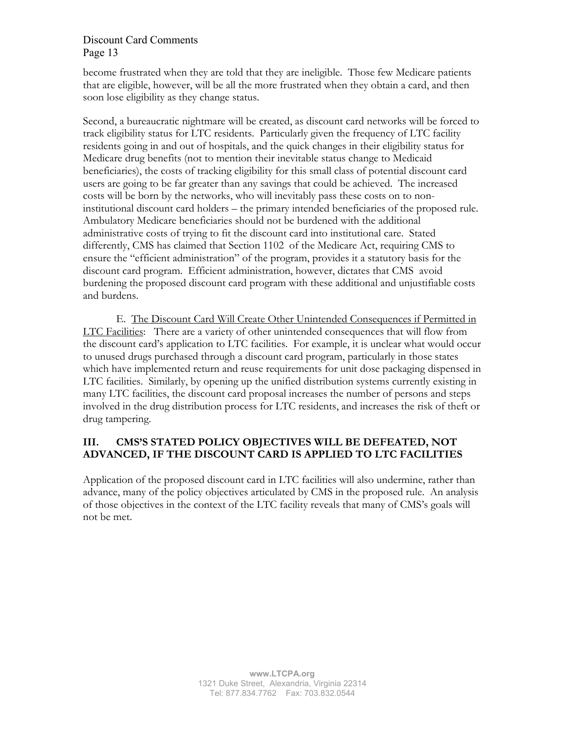become frustrated when they are told that they are ineligible. Those few Medicare patients that are eligible, however, will be all the more frustrated when they obtain a card, and then soon lose eligibility as they change status.

Second, a bureaucratic nightmare will be created, as discount card networks will be forced to track eligibility status for LTC residents. Particularly given the frequency of LTC facility residents going in and out of hospitals, and the quick changes in their eligibility status for Medicare drug benefits (not to mention their inevitable status change to Medicaid beneficiaries), the costs of tracking eligibility for this small class of potential discount card users are going to be far greater than any savings that could be achieved. The increased costs will be born by the networks, who will inevitably pass these costs on to noninstitutional discount card holders – the primary intended beneficiaries of the proposed rule. Ambulatory Medicare beneficiaries should not be burdened with the additional administrative costs of trying to fit the discount card into institutional care. Stated differently, CMS has claimed that Section 1102 of the Medicare Act, requiring CMS to ensure the "efficient administration" of the program, provides it a statutory basis for the discount card program. Efficient administration, however, dictates that CMS avoid burdening the proposed discount card program with these additional and unjustifiable costs and burdens.

E. The Discount Card Will Create Other Unintended Consequences if Permitted in LTC Facilities: There are a variety of other unintended consequences that will flow from the discount card's application to LTC facilities. For example, it is unclear what would occur to unused drugs purchased through a discount card program, particularly in those states which have implemented return and reuse requirements for unit dose packaging dispensed in LTC facilities. Similarly, by opening up the unified distribution systems currently existing in many LTC facilities, the discount card proposal increases the number of persons and steps involved in the drug distribution process for LTC residents, and increases the risk of theft or drug tampering.

# **III. CMS'S STATED POLICY OBJECTIVES WILL BE DEFEATED, NOT ADVANCED, IF THE DISCOUNT CARD IS APPLIED TO LTC FACILITIES**

Application of the proposed discount card in LTC facilities will also undermine, rather than advance, many of the policy objectives articulated by CMS in the proposed rule. An analysis of those objectives in the context of the LTC facility reveals that many of CMS's goals will not be met.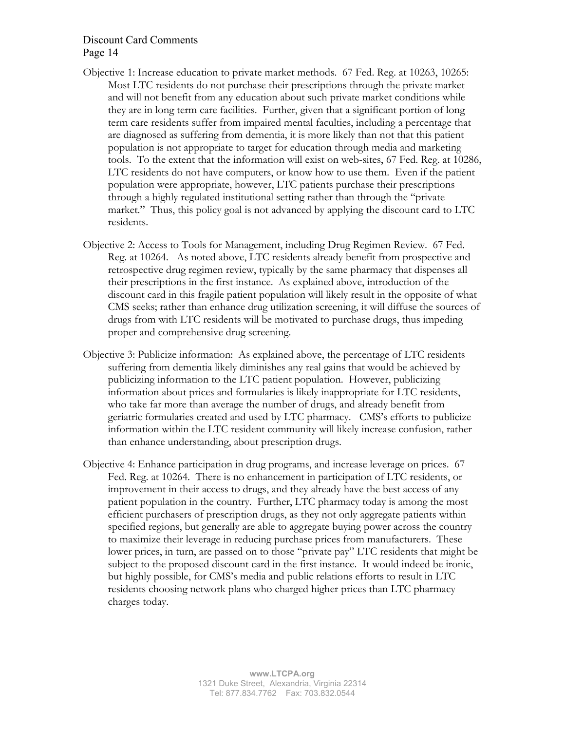- Objective 1: Increase education to private market methods. 67 Fed. Reg. at 10263, 10265: Most LTC residents do not purchase their prescriptions through the private market and will not benefit from any education about such private market conditions while they are in long term care facilities. Further, given that a significant portion of long term care residents suffer from impaired mental faculties, including a percentage that are diagnosed as suffering from dementia, it is more likely than not that this patient population is not appropriate to target for education through media and marketing tools. To the extent that the information will exist on web-sites, 67 Fed. Reg. at 10286, LTC residents do not have computers, or know how to use them. Even if the patient population were appropriate, however, LTC patients purchase their prescriptions through a highly regulated institutional setting rather than through the "private market." Thus, this policy goal is not advanced by applying the discount card to LTC residents.
- Objective 2: Access to Tools for Management, including Drug Regimen Review. 67 Fed. Reg. at 10264. As noted above, LTC residents already benefit from prospective and retrospective drug regimen review, typically by the same pharmacy that dispenses all their prescriptions in the first instance. As explained above, introduction of the discount card in this fragile patient population will likely result in the opposite of what CMS seeks; rather than enhance drug utilization screening, it will diffuse the sources of drugs from with LTC residents will be motivated to purchase drugs, thus impeding proper and comprehensive drug screening.
- Objective 3: Publicize information: As explained above, the percentage of LTC residents suffering from dementia likely diminishes any real gains that would be achieved by publicizing information to the LTC patient population. However, publicizing information about prices and formularies is likely inappropriate for LTC residents, who take far more than average the number of drugs, and already benefit from geriatric formularies created and used by LTC pharmacy. CMS's efforts to publicize information within the LTC resident community will likely increase confusion, rather than enhance understanding, about prescription drugs.
- Objective 4: Enhance participation in drug programs, and increase leverage on prices. 67 Fed. Reg. at 10264. There is no enhancement in participation of LTC residents, or improvement in their access to drugs, and they already have the best access of any patient population in the country. Further, LTC pharmacy today is among the most efficient purchasers of prescription drugs, as they not only aggregate patients within specified regions, but generally are able to aggregate buying power across the country to maximize their leverage in reducing purchase prices from manufacturers. These lower prices, in turn, are passed on to those "private pay" LTC residents that might be subject to the proposed discount card in the first instance. It would indeed be ironic, but highly possible, for CMS's media and public relations efforts to result in LTC residents choosing network plans who charged higher prices than LTC pharmacy charges today.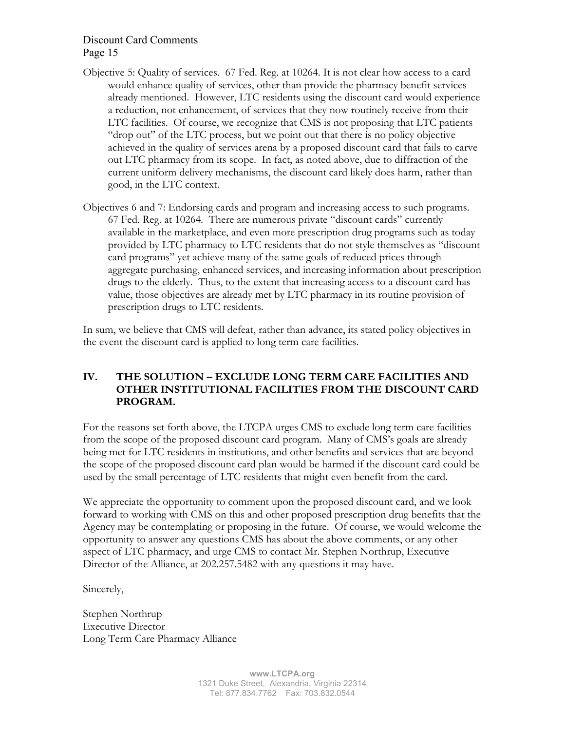- Objective 5: Quality of services. 67 Fed. Reg. at 10264. It is not clear how access to a card would enhance quality of services, other than provide the pharmacy benefit services already mentioned. However, LTC residents using the discount card would experience a reduction, not enhancement, of services that they now routinely receive from their LTC facilities. Of course, we recognize that CMS is not proposing that LTC patients "drop out" of the LTC process, but we point out that there is no policy objective achieved in the quality of services arena by a proposed discount card that fails to carve out LTC pharmacy from its scope. In fact, as noted above, due to diffraction of the current uniform delivery mechanisms, the discount card likely does harm, rather than good, in the LTC context.
- Objectives 6 and 7: Endorsing cards and program and increasing access to such programs. 67 Fed. Reg. at 10264. There are numerous private "discount cards" currently available in the marketplace, and even more prescription drug programs such as today provided by LTC pharmacy to LTC residents that do not style themselves as "discount card programs" yet achieve many of the same goals of reduced prices through aggregate purchasing, enhanced services, and increasing information about prescription drugs to the elderly. Thus, to the extent that increasing access to a discount card has value, those objectives are already met by LTC pharmacy in its routine provision of prescription drugs to LTC residents.

In sum, we believe that CMS will defeat, rather than advance, its stated policy objectives in the event the discount card is applied to long term care facilities.

# **IV. THE SOLUTION – EXCLUDE LONG TERM CARE FACILITIES AND OTHER INSTITUTIONAL FACILITIES FROM THE DISCOUNT CARD PROGRAM.**

For the reasons set forth above, the LTCPA urges CMS to exclude long term care facilities from the scope of the proposed discount card program. Many of CMS's goals are already being met for LTC residents in institutions, and other benefits and services that are beyond the scope of the proposed discount card plan would be harmed if the discount card could be used by the small percentage of LTC residents that might even benefit from the card.

We appreciate the opportunity to comment upon the proposed discount card, and we look forward to working with CMS on this and other proposed prescription drug benefits that the Agency may be contemplating or proposing in the future. Of course, we would welcome the opportunity to answer any questions CMS has about the above comments, or any other aspect of LTC pharmacy, and urge CMS to contact Mr. Stephen Northrup, Executive Director of the Alliance, at 202.257.5482 with any questions it may have.

Sincerely,

Stephen Northrup Executive Director Long Term Care Pharmacy Alliance